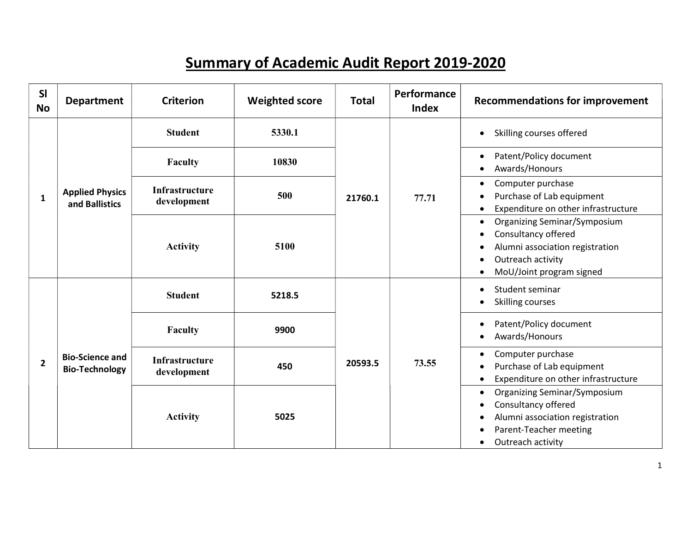## Summary of Academic Audit Report 2019-2020

| SI<br><b>No</b> | <b>Department</b>                               | <b>Criterion</b>                     | <b>Weighted score</b> | <b>Total</b> | Performance<br><b>Index</b> | <b>Recommendations for improvement</b>                                                                                                                                                             |
|-----------------|-------------------------------------------------|--------------------------------------|-----------------------|--------------|-----------------------------|----------------------------------------------------------------------------------------------------------------------------------------------------------------------------------------------------|
|                 |                                                 | <b>Student</b>                       | 5330.1                |              |                             | Skilling courses offered<br>$\bullet$                                                                                                                                                              |
|                 |                                                 | Faculty                              | 10830                 |              |                             | Patent/Policy document<br>$\bullet$<br>Awards/Honours<br>$\bullet$                                                                                                                                 |
| 1               | <b>Applied Physics</b><br>and Ballistics        | <b>Infrastructure</b><br>development | 500                   | 21760.1      | 77.71                       | Computer purchase<br>$\bullet$<br>Purchase of Lab equipment<br>Expenditure on other infrastructure<br>$\bullet$                                                                                    |
|                 |                                                 | <b>Activity</b>                      | 5100                  |              |                             | <b>Organizing Seminar/Symposium</b><br>$\bullet$<br>Consultancy offered<br>Alumni association registration<br>$\bullet$<br>Outreach activity<br>$\bullet$<br>MoU/Joint program signed<br>$\bullet$ |
|                 |                                                 | <b>Student</b>                       | 5218.5                |              |                             | Student seminar<br>$\bullet$<br><b>Skilling courses</b><br>$\bullet$                                                                                                                               |
|                 |                                                 | Faculty                              | 9900                  |              |                             | Patent/Policy document<br>$\bullet$<br>Awards/Honours<br>$\bullet$                                                                                                                                 |
| $\overline{2}$  | <b>Bio-Science and</b><br><b>Bio-Technology</b> | <b>Infrastructure</b><br>development | 450                   | 20593.5      | 73.55                       | Computer purchase<br>$\bullet$<br>Purchase of Lab equipment<br>Expenditure on other infrastructure<br>$\bullet$                                                                                    |
|                 |                                                 | <b>Activity</b>                      | 5025                  |              |                             | <b>Organizing Seminar/Symposium</b><br>$\bullet$<br>Consultancy offered<br>$\bullet$<br>Alumni association registration<br>$\bullet$<br>Parent-Teacher meeting<br>Outreach activity<br>$\bullet$   |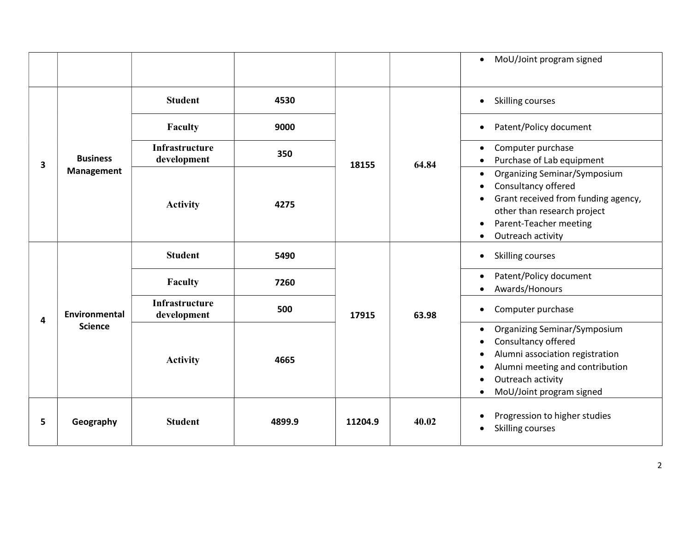|    |                               |                                      |        |         |       | MoU/Joint program signed<br>$\bullet$                                                                                                                                                                                                                    |
|----|-------------------------------|--------------------------------------|--------|---------|-------|----------------------------------------------------------------------------------------------------------------------------------------------------------------------------------------------------------------------------------------------------------|
|    |                               | <b>Student</b>                       | 4530   |         |       | <b>Skilling courses</b><br>$\bullet$                                                                                                                                                                                                                     |
|    |                               | Faculty                              | 9000   |         |       | Patent/Policy document<br>$\bullet$                                                                                                                                                                                                                      |
| 3  | <b>Business</b><br>Management | <b>Infrastructure</b><br>development | 350    | 18155   | 64.84 | Computer purchase<br>$\bullet$<br>Purchase of Lab equipment<br>$\bullet$                                                                                                                                                                                 |
|    |                               | <b>Activity</b>                      | 4275   |         |       | <b>Organizing Seminar/Symposium</b><br>$\bullet$<br>Consultancy offered<br>$\bullet$<br>Grant received from funding agency,<br>$\bullet$<br>other than research project<br>Parent-Teacher meeting<br>$\bullet$<br>Outreach activity<br>$\bullet$         |
|    |                               | <b>Student</b>                       | 5490   | 17915   |       | <b>Skilling courses</b><br>$\bullet$                                                                                                                                                                                                                     |
|    |                               | Faculty                              | 7260   |         |       | Patent/Policy document<br>$\bullet$<br>Awards/Honours<br>$\bullet$                                                                                                                                                                                       |
| 4  | <b>Environmental</b>          | <b>Infrastructure</b><br>development | 500    |         | 63.98 | Computer purchase<br>$\bullet$                                                                                                                                                                                                                           |
|    | <b>Science</b>                | <b>Activity</b>                      | 4665   |         |       | Organizing Seminar/Symposium<br>$\bullet$<br>Consultancy offered<br>$\bullet$<br>Alumni association registration<br>$\bullet$<br>Alumni meeting and contribution<br>$\bullet$<br>Outreach activity<br>$\bullet$<br>MoU/Joint program signed<br>$\bullet$ |
| 5. | Geography                     | <b>Student</b>                       | 4899.9 | 11204.9 | 40.02 | Progression to higher studies<br>$\bullet$<br>Skilling courses<br>$\bullet$                                                                                                                                                                              |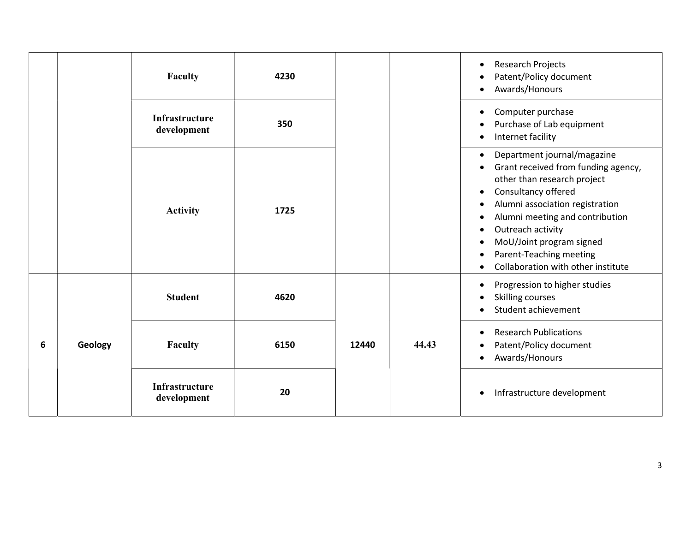|   |         | Faculty                              | 4230 |       |       | <b>Research Projects</b><br>$\bullet$<br>Patent/Policy document<br>Awards/Honours<br>$\bullet$                                                                                                                                                                                                                                                                                                                                        |
|---|---------|--------------------------------------|------|-------|-------|---------------------------------------------------------------------------------------------------------------------------------------------------------------------------------------------------------------------------------------------------------------------------------------------------------------------------------------------------------------------------------------------------------------------------------------|
|   |         | Infrastructure<br>development        | 350  |       |       | Computer purchase<br>$\bullet$<br>Purchase of Lab equipment<br>$\bullet$<br>Internet facility<br>$\bullet$                                                                                                                                                                                                                                                                                                                            |
|   |         | <b>Activity</b>                      | 1725 |       |       | Department journal/magazine<br>$\bullet$<br>Grant received from funding agency,<br>$\bullet$<br>other than research project<br>Consultancy offered<br>$\bullet$<br>Alumni association registration<br>$\bullet$<br>Alumni meeting and contribution<br>$\bullet$<br>Outreach activity<br>$\bullet$<br>MoU/Joint program signed<br>$\bullet$<br>Parent-Teaching meeting<br>$\bullet$<br>Collaboration with other institute<br>$\bullet$ |
|   |         | <b>Student</b>                       | 4620 |       |       | Progression to higher studies<br>$\bullet$<br>Skilling courses<br>$\bullet$<br>Student achievement                                                                                                                                                                                                                                                                                                                                    |
| 6 | Geology | Faculty                              | 6150 | 12440 | 44.43 | <b>Research Publications</b><br>$\bullet$<br>Patent/Policy document<br>$\bullet$<br>Awards/Honours<br>$\bullet$                                                                                                                                                                                                                                                                                                                       |
|   |         | <b>Infrastructure</b><br>development | 20   |       |       | Infrastructure development<br>$\bullet$                                                                                                                                                                                                                                                                                                                                                                                               |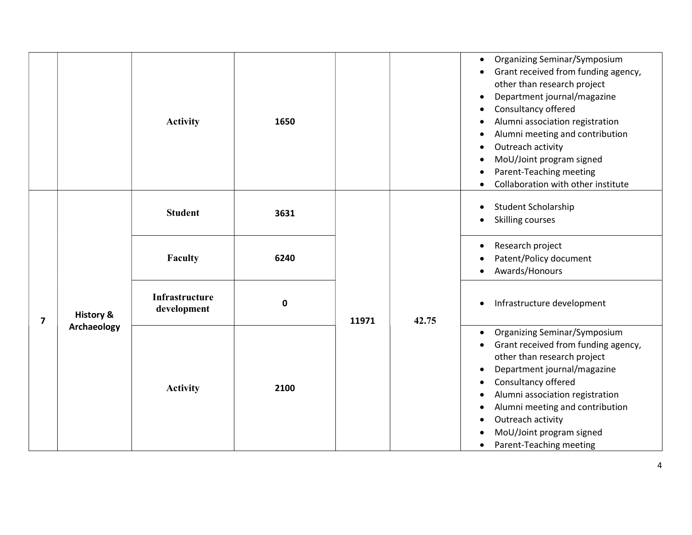|                |                      | <b>Activity</b>               | 1650      |       |       | <b>Organizing Seminar/Symposium</b><br>$\bullet$<br>Grant received from funding agency,<br>$\bullet$<br>other than research project<br>Department journal/magazine<br>$\bullet$<br>Consultancy offered<br>Alumni association registration<br>$\bullet$<br>Alumni meeting and contribution<br>$\bullet$<br>Outreach activity<br>٠<br>MoU/Joint program signed<br>Parent-Teaching meeting<br>Collaboration with other institute |
|----------------|----------------------|-------------------------------|-----------|-------|-------|-------------------------------------------------------------------------------------------------------------------------------------------------------------------------------------------------------------------------------------------------------------------------------------------------------------------------------------------------------------------------------------------------------------------------------|
|                |                      | <b>Student</b>                | 3631      |       |       | Student Scholarship<br><b>Skilling courses</b>                                                                                                                                                                                                                                                                                                                                                                                |
|                |                      | Faculty                       | 6240      |       |       | Research project<br>$\bullet$<br>Patent/Policy document<br>Awards/Honours                                                                                                                                                                                                                                                                                                                                                     |
| $\overline{7}$ | <b>History &amp;</b> | Infrastructure<br>development | $\pmb{0}$ |       | 42.75 | Infrastructure development<br>$\bullet$                                                                                                                                                                                                                                                                                                                                                                                       |
|                | Archaeology          | <b>Activity</b>               | 2100      | 11971 |       | <b>Organizing Seminar/Symposium</b><br>Grant received from funding agency,<br>other than research project<br>Department journal/magazine<br>Consultancy offered<br>$\bullet$<br>Alumni association registration<br>$\bullet$<br>Alumni meeting and contribution<br>Outreach activity<br>MoU/Joint program signed<br>Parent-Teaching meeting                                                                                   |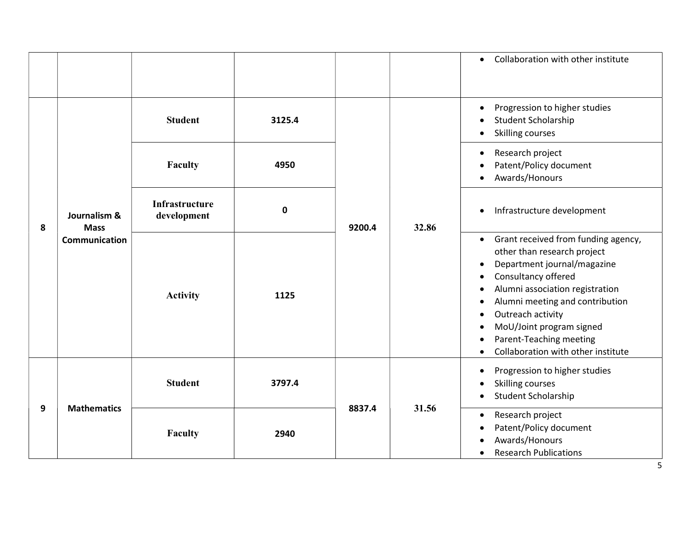|   |                                              |                               |             |        |       | Collaboration with other institute<br>$\bullet$                                                                                                                                                                                                                                                                                                                                                                                       |
|---|----------------------------------------------|-------------------------------|-------------|--------|-------|---------------------------------------------------------------------------------------------------------------------------------------------------------------------------------------------------------------------------------------------------------------------------------------------------------------------------------------------------------------------------------------------------------------------------------------|
|   |                                              | <b>Student</b>                | 3125.4      |        |       | Progression to higher studies<br>$\bullet$<br>Student Scholarship<br><b>Skilling courses</b>                                                                                                                                                                                                                                                                                                                                          |
|   |                                              | Faculty                       | 4950        |        | 32.86 | Research project<br>$\bullet$<br>Patent/Policy document<br>Awards/Honours<br>$\bullet$                                                                                                                                                                                                                                                                                                                                                |
| 8 | Journalism &<br><b>Mass</b><br>Communication | Infrastructure<br>development | $\mathbf 0$ | 9200.4 |       | Infrastructure development<br>$\bullet$                                                                                                                                                                                                                                                                                                                                                                                               |
|   |                                              | <b>Activity</b>               | 1125        |        |       | Grant received from funding agency,<br>$\bullet$<br>other than research project<br>Department journal/magazine<br>$\bullet$<br>Consultancy offered<br>$\bullet$<br>Alumni association registration<br>$\bullet$<br>Alumni meeting and contribution<br>$\bullet$<br>Outreach activity<br>$\bullet$<br>MoU/Joint program signed<br>$\bullet$<br>Parent-Teaching meeting<br>$\bullet$<br>Collaboration with other institute<br>$\bullet$ |
|   |                                              | <b>Student</b>                | 3797.4      |        |       | Progression to higher studies<br>$\bullet$<br><b>Skilling courses</b><br>Student Scholarship<br>$\bullet$                                                                                                                                                                                                                                                                                                                             |
| 9 | <b>Mathematics</b>                           | Faculty                       | 2940        | 8837.4 | 31.56 | Research project<br>$\bullet$<br>Patent/Policy document<br>Awards/Honours<br>$\bullet$<br><b>Research Publications</b><br>$\bullet$<br>5                                                                                                                                                                                                                                                                                              |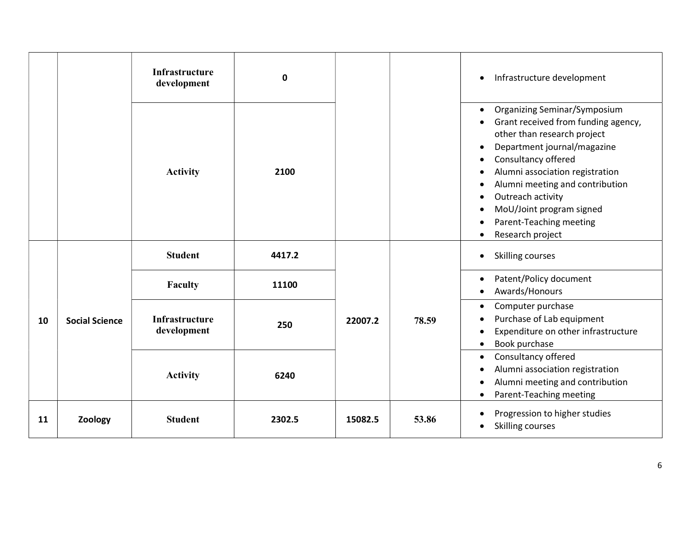|    |                       | Infrastructure<br>development        | 0      |         |       | Infrastructure development<br>$\bullet$                                                                                                                                                                                                                                                                                                                                                                                          |
|----|-----------------------|--------------------------------------|--------|---------|-------|----------------------------------------------------------------------------------------------------------------------------------------------------------------------------------------------------------------------------------------------------------------------------------------------------------------------------------------------------------------------------------------------------------------------------------|
|    |                       | <b>Activity</b>                      | 2100   |         |       | <b>Organizing Seminar/Symposium</b><br>$\bullet$<br>Grant received from funding agency,<br>$\bullet$<br>other than research project<br>Department journal/magazine<br>$\bullet$<br>Consultancy offered<br>Alumni association registration<br>$\bullet$<br>Alumni meeting and contribution<br>$\bullet$<br>Outreach activity<br>$\bullet$<br>MoU/Joint program signed<br>Parent-Teaching meeting<br>Research project<br>$\bullet$ |
|    |                       | <b>Student</b>                       | 4417.2 |         |       | Skilling courses<br>$\bullet$                                                                                                                                                                                                                                                                                                                                                                                                    |
|    |                       | Faculty                              | 11100  | 22007.2 |       | Patent/Policy document<br>$\bullet$<br>Awards/Honours<br>$\bullet$                                                                                                                                                                                                                                                                                                                                                               |
| 10 | <b>Social Science</b> | <b>Infrastructure</b><br>development | 250    |         | 78.59 | Computer purchase<br>$\bullet$<br>Purchase of Lab equipment<br>Expenditure on other infrastructure<br>$\bullet$<br>Book purchase<br>$\bullet$                                                                                                                                                                                                                                                                                    |
|    |                       | <b>Activity</b>                      | 6240   |         |       | Consultancy offered<br>$\bullet$<br>Alumni association registration<br>$\bullet$<br>Alumni meeting and contribution<br>$\bullet$<br>Parent-Teaching meeting<br>٠                                                                                                                                                                                                                                                                 |
| 11 | Zoology               | <b>Student</b>                       | 2302.5 | 15082.5 | 53.86 | Progression to higher studies<br>$\bullet$<br>Skilling courses                                                                                                                                                                                                                                                                                                                                                                   |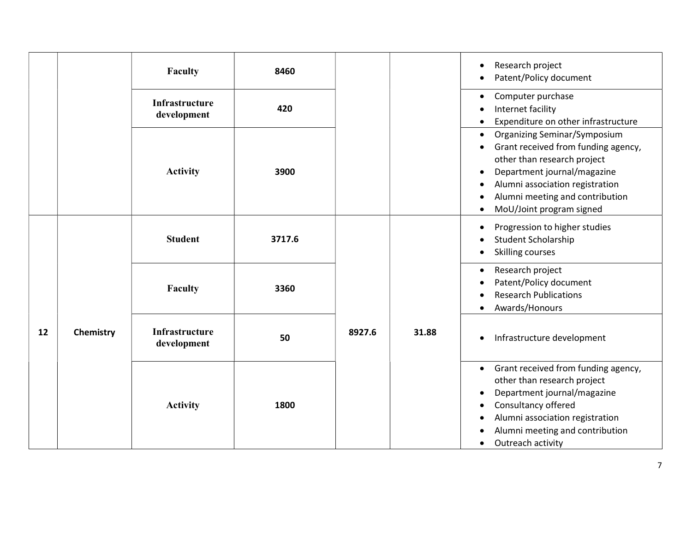|    |           | <b>Faculty</b>                | 8460   |        |       | Research project<br>Patent/Policy document                                                                                                                                                                                                                                                     |
|----|-----------|-------------------------------|--------|--------|-------|------------------------------------------------------------------------------------------------------------------------------------------------------------------------------------------------------------------------------------------------------------------------------------------------|
|    |           | Infrastructure<br>development | 420    |        |       | Computer purchase<br>$\bullet$<br>Internet facility<br>Expenditure on other infrastructure                                                                                                                                                                                                     |
|    |           | <b>Activity</b>               | 3900   |        |       | <b>Organizing Seminar/Symposium</b><br>$\bullet$<br>Grant received from funding agency,<br>$\bullet$<br>other than research project<br>Department journal/magazine<br>$\bullet$<br>Alumni association registration<br>Alumni meeting and contribution<br>MoU/Joint program signed<br>$\bullet$ |
|    |           | <b>Student</b>                | 3717.6 |        |       | Progression to higher studies<br>$\bullet$<br><b>Student Scholarship</b><br>Skilling courses                                                                                                                                                                                                   |
|    |           | <b>Faculty</b>                | 3360   |        |       | Research project<br>$\bullet$<br>Patent/Policy document<br><b>Research Publications</b><br>Awards/Honours<br>$\bullet$                                                                                                                                                                         |
| 12 | Chemistry | Infrastructure<br>development | 50     | 8927.6 | 31.88 | Infrastructure development<br>$\bullet$                                                                                                                                                                                                                                                        |
|    |           | <b>Activity</b>               | 1800   |        |       | Grant received from funding agency,<br>$\bullet$<br>other than research project<br>Department journal/magazine<br>$\bullet$<br>Consultancy offered<br>$\bullet$<br>Alumni association registration<br>Alumni meeting and contribution<br>Outreach activity<br>$\bullet$                        |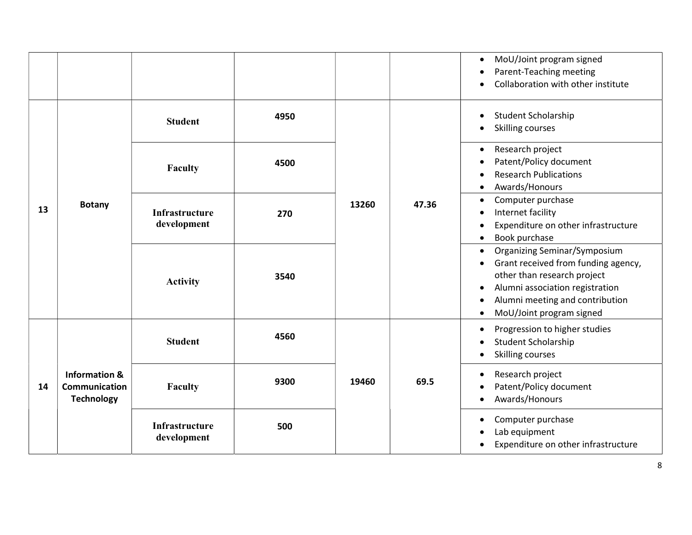|    |                                                                | <b>Student</b>                | 4950 |       |       | MoU/Joint program signed<br>$\bullet$<br>Parent-Teaching meeting<br>$\bullet$<br>Collaboration with other institute<br>$\bullet$<br><b>Student Scholarship</b><br>$\bullet$                                                                                           |
|----|----------------------------------------------------------------|-------------------------------|------|-------|-------|-----------------------------------------------------------------------------------------------------------------------------------------------------------------------------------------------------------------------------------------------------------------------|
|    |                                                                | Faculty                       | 4500 |       |       | Skilling courses<br>$\bullet$<br>Research project<br>$\bullet$<br>Patent/Policy document<br><b>Research Publications</b><br>$\bullet$<br>Awards/Honours<br>$\bullet$                                                                                                  |
| 13 | <b>Botany</b>                                                  | Infrastructure<br>development | 270  | 13260 | 47.36 | Computer purchase<br>$\bullet$<br>Internet facility<br>$\bullet$<br>Expenditure on other infrastructure<br>$\bullet$<br>Book purchase<br>$\bullet$                                                                                                                    |
|    |                                                                | <b>Activity</b>               | 3540 |       |       | Organizing Seminar/Symposium<br>$\bullet$<br>Grant received from funding agency,<br>$\bullet$<br>other than research project<br>Alumni association registration<br>$\bullet$<br>Alumni meeting and contribution<br>$\bullet$<br>MoU/Joint program signed<br>$\bullet$ |
|    |                                                                | <b>Student</b>                | 4560 |       |       | Progression to higher studies<br>$\bullet$<br>Student Scholarship<br>$\bullet$<br><b>Skilling courses</b><br>$\bullet$                                                                                                                                                |
| 14 | <b>Information &amp;</b><br>Communication<br><b>Technology</b> | Faculty                       | 9300 | 19460 | 69.5  | Research project<br>$\bullet$<br>Patent/Policy document<br>$\bullet$<br>Awards/Honours<br>$\bullet$                                                                                                                                                                   |
|    |                                                                | Infrastructure<br>development | 500  |       |       | Computer purchase<br>$\bullet$<br>Lab equipment<br>Expenditure on other infrastructure<br>$\bullet$                                                                                                                                                                   |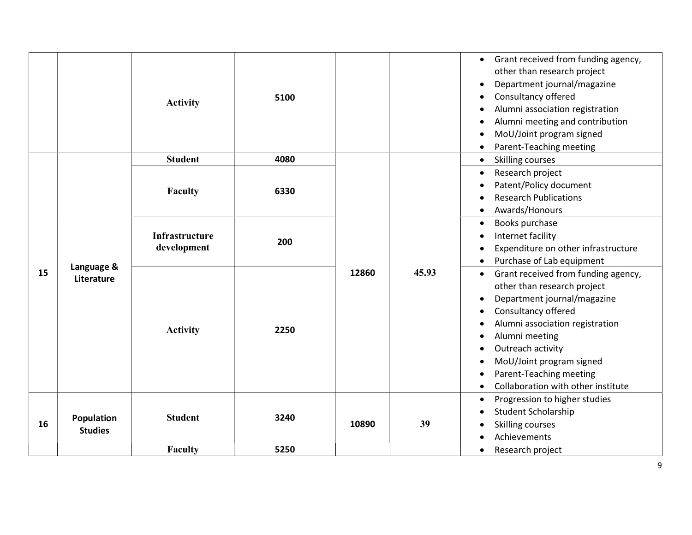|    |                              | <b>Activity</b>               | 5100 |       |       | Grant received from funding agency,<br>$\bullet$<br>other than research project<br>Department journal/magazine<br>$\bullet$<br>Consultancy offered<br>$\bullet$<br>Alumni association registration<br>$\bullet$<br>Alumni meeting and contribution<br>$\bullet$<br>MoU/Joint program signed<br>$\bullet$<br>Parent-Teaching meeting<br>$\bullet$                                                             |
|----|------------------------------|-------------------------------|------|-------|-------|--------------------------------------------------------------------------------------------------------------------------------------------------------------------------------------------------------------------------------------------------------------------------------------------------------------------------------------------------------------------------------------------------------------|
|    |                              | <b>Student</b>                | 4080 |       |       | Skilling courses<br>$\bullet$                                                                                                                                                                                                                                                                                                                                                                                |
|    |                              | Faculty                       | 6330 |       |       | Research project<br>$\bullet$<br>Patent/Policy document<br>$\bullet$<br><b>Research Publications</b><br>Awards/Honours<br>$\bullet$                                                                                                                                                                                                                                                                          |
|    |                              | Infrastructure<br>development | 200  |       |       | Books purchase<br>$\bullet$<br>Internet facility<br>$\bullet$<br>Expenditure on other infrastructure<br>$\bullet$<br>Purchase of Lab equipment<br>$\bullet$                                                                                                                                                                                                                                                  |
| 15 | Language &<br>Literature     | <b>Activity</b>               | 2250 | 12860 | 45.93 | Grant received from funding agency,<br>$\bullet$<br>other than research project<br>Department journal/magazine<br>$\bullet$<br>Consultancy offered<br>$\bullet$<br>Alumni association registration<br>٠<br>Alumni meeting<br>$\bullet$<br>Outreach activity<br>$\bullet$<br>MoU/Joint program signed<br>$\bullet$<br>Parent-Teaching meeting<br>$\bullet$<br>Collaboration with other institute<br>$\bullet$ |
| 16 | Population<br><b>Studies</b> | <b>Student</b>                | 3240 | 10890 | 39    | Progression to higher studies<br>$\bullet$<br>Student Scholarship<br>$\bullet$<br>Skilling courses<br>$\bullet$<br>Achievements                                                                                                                                                                                                                                                                              |
|    |                              | <b>Faculty</b>                | 5250 |       |       | Research project<br>$\bullet$                                                                                                                                                                                                                                                                                                                                                                                |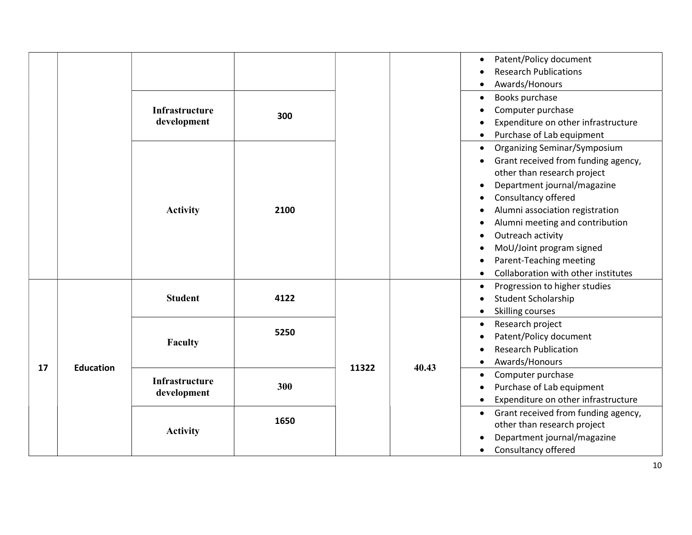|    |                  | <b>Infrastructure</b><br>development | 300  |       |       | Patent/Policy document<br><b>Research Publications</b><br>Awards/Honours<br>$\bullet$<br>Books purchase<br>$\bullet$<br>Computer purchase<br>Expenditure on other infrastructure<br>Purchase of Lab equipment                                                                                                                                                                                                      |
|----|------------------|--------------------------------------|------|-------|-------|--------------------------------------------------------------------------------------------------------------------------------------------------------------------------------------------------------------------------------------------------------------------------------------------------------------------------------------------------------------------------------------------------------------------|
|    |                  | <b>Activity</b>                      | 2100 |       |       | Organizing Seminar/Symposium<br>$\bullet$<br>Grant received from funding agency,<br>$\bullet$<br>other than research project<br>Department journal/magazine<br>Consultancy offered<br>Alumni association registration<br>$\bullet$<br>Alumni meeting and contribution<br>$\bullet$<br>Outreach activity<br>$\bullet$<br>MoU/Joint program signed<br>Parent-Teaching meeting<br>Collaboration with other institutes |
|    |                  | <b>Student</b>                       | 4122 |       |       | Progression to higher studies<br>$\bullet$<br><b>Student Scholarship</b><br>Skilling courses<br>$\bullet$                                                                                                                                                                                                                                                                                                          |
| 17 | <b>Education</b> | Faculty                              | 5250 | 11322 | 40.43 | Research project<br>$\bullet$<br>Patent/Policy document<br><b>Research Publication</b><br>Awards/Honours                                                                                                                                                                                                                                                                                                           |
|    |                  | Infrastructure<br>development        | 300  |       |       | Computer purchase<br>$\bullet$<br>Purchase of Lab equipment<br>Expenditure on other infrastructure                                                                                                                                                                                                                                                                                                                 |
|    |                  | <b>Activity</b>                      | 1650 |       |       | Grant received from funding agency,<br>$\bullet$<br>other than research project<br>Department journal/magazine<br>Consultancy offered<br>$\bullet$                                                                                                                                                                                                                                                                 |